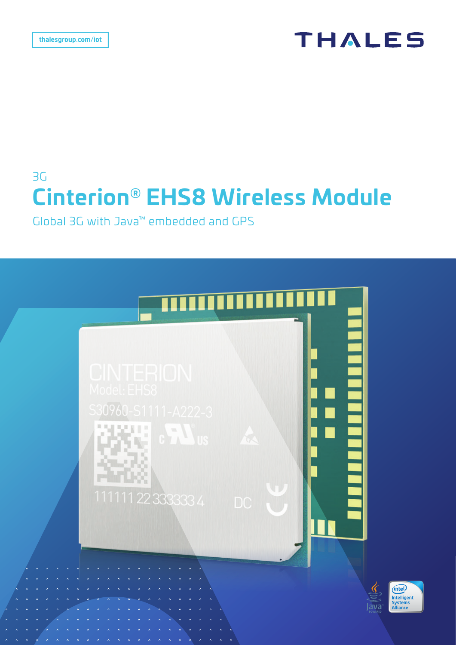# **THALES**

# 3G **Cinterion® EHS8 Wireless Module**

Global 3G with Java™ embedded and GPS

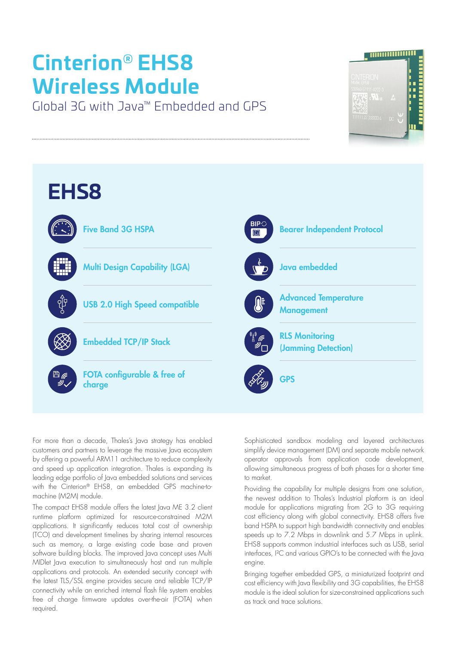# **Cinterion® EHS8 Wireless Module**

Global 3G with Java™ Embedded and GPS





For more than a decade, Thales's Java strategy has enabled customers and partners to leverage the massive Java ecosystem by offering a powerful ARM11 architecture to reduce complexity and speed up application integration. Thales is expanding its leading edge portfolio of Java embedded solutions and services with the Cinterion® EHS8, an embedded GPS machine-tomachine (M2M) module.

The compact EHS8 module offers the latest Java ME 3.2 client runtime platform optimized for resource-constrained M2M applications. It significantly reduces total cost of ownership (TCO) and development timelines by sharing internal resources such as memory, a large existing code base and proven software building blocks. The improved Java concept uses Multi MIDlet Java execution to simultaneously host and run multiple applications and protocols. An extended security concept with the latest TLS/SSL engine provides secure and reliable TCP/IP connectivity while an enriched internal flash file system enables free of charge firmware updates over-the-air (FOTA) when required.

Sophisticated sandbox modeling and layered architectures simplify device management (DM) and separate mobile network operator approvals from application code development, allowing simultaneous progress of both phases for a shorter time to market.

Providing the capability for multiple designs from one solution, the newest addition to Thales's Industrial platform is an ideal module for applications migrating from 2G to 3G requiring cost efficiency along with global connectivity. EHS8 offers five band HSPA to support high bandwidth connectivity and enables speeds up to 7.2 Mbps in downlink and 5.7 Mbps in uplink. EHS8 supports common industrial interfaces such as USB, serial interfaces, I²C and various GPIO's to be connected with the Java engine.

Bringing together embedded GPS, a miniaturized footprint and cost efficiency with Java flexibility and 3G capabilities, the EHS8 module is the ideal solution for size-constrained applications such as track and trace solutions.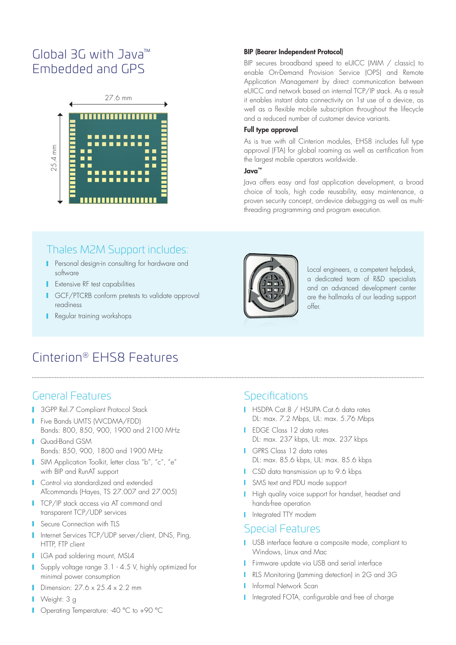# Global 3G with Java™ Embedded and GPS



#### BIP (Bearer Independent Protocol)

BIP secures broadband speed to eUICC (MIM / classic) to enable On-Demand Provision Service (OPS) and Remote Application Management by direct communication between eUICC and network based on internal TCP/IP stack. As a result it enables instant data connectivity on 1st use of a device, as well as a flexible mobile subscription throughout the lifecycle and a reduced number of customer device variants.

#### Full type approval

As is true with all Cinterion modules, EHS8 includes full type approval (FTA) for global roaming as well as certification from the largest mobile operators worldwide.

#### Java™

Java offers easy and fast application development, a broad choice of tools, high code reusability, easy maintenance, a proven security concept, on-device debugging as well as multithreading programming and program execution.

### Thales M2M Support includes:

- **Personal design-in consulting for hardware and** software
- **I** Extensive RF test capabilities
- GCF/PTCRB conform pretests to validate approval readiness
- **Regular training workshops**



Local engineers, a competent helpdesk, a dedicated team of R&D specialists and an advanced development center are the hallmarks of our leading support offer.

# Cinterion® EHS8 Features

#### General Features

- **3GPP Rel.7 Compliant Protocol Stack**
- **Five Bands UMTS (WCDMA/FDD)** Bands: 800, 850, 900, 1900 and 2100 MHz
- Quad-Band GSM Bands: 850, 900, 1800 and 1900 MHz
- **I** SIM Application Toolkit, letter class "b", "c", "e" with BIP and RunAT support
- **Control via standardized and extended** ATcommands (Hayes, TS 27.007 and 27.005)
- **TCP/IP stack access via AT command and** transparent TCP/UDP services
- **Secure Connection with TLS**
- I Internet Services TCP/UDP server/client, DNS, Ping, HTTP, FTP client
- **LGA pad soldering mount, MSL4**
- **Supply voltage range 3.1 4.5 V, highly optimized for** minimal power consumption
- Dimension: 27.6 x 25.4 x 2.2 mm
- Weight: 3 g
- Operating Temperature: -40 °C to +90 °C

### **Specifications**

- HSDPA Cat.8 / HSUPA Cat.6 data rates DL: max. 7.2 Mbps, UL: max. 5.76 Mbps
- **I** EDGE Class 12 data rates DL: max. 237 kbps, UL: max. 237 kbps
- GPRS Class 12 data rates DL: max. 85.6 kbps, UL: max. 85.6 kbps
- CSD data transmission up to 9.6 kbps
- SMS text and PDU mode support
- **High quality voice support for handset, headset and** hands-free operation
- **I** Integrated TTY modem

#### Special Features

- USB interface feature a composite mode, compliant to Windows, Linux and Mac
- **Firmware update via USB and serial interface**
- RLS Monitoring (Jamming detection) in 2G and 3G
- Informal Network Scan
- I Integrated FOTA, configurable and free of charge